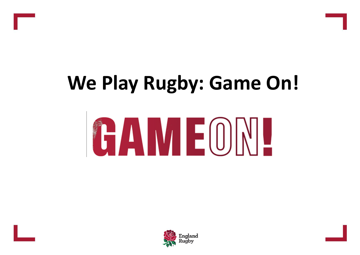





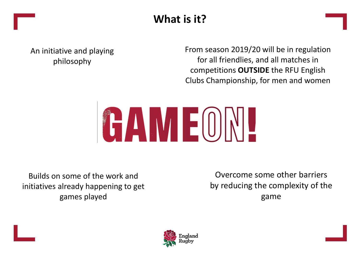

An initiative and playing philosophy

From season 2019/20 will be in regulation for all friendlies, and all matches in competitions **OUTSIDE** the RFU English Clubs Championship, for men and women



Builds on some of the work and initiatives already happening to get games played

Overcome some other barriers by reducing the complexity of the game

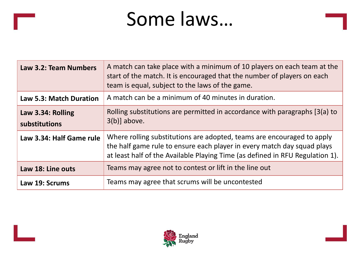### Some laws…

| Law 3.2: Team Numbers              | A match can take place with a minimum of 10 players on each team at the<br>start of the match. It is encouraged that the number of players on each<br>team is equal, subject to the laws of the game.                              |
|------------------------------------|------------------------------------------------------------------------------------------------------------------------------------------------------------------------------------------------------------------------------------|
| <b>Law 5.3: Match Duration</b>     | A match can be a minimum of 40 minutes in duration.                                                                                                                                                                                |
| Law 3.34: Rolling<br>substitutions | Rolling substitutions are permitted in accordance with paragraphs [3(a) to<br>$3(b)$ ] above.                                                                                                                                      |
| Law 3.34: Half Game rule           | Where rolling substitutions are adopted, teams are encouraged to apply<br>the half game rule to ensure each player in every match day squad plays<br>at least half of the Available Playing Time (as defined in RFU Regulation 1). |
| Law 18: Line outs                  | Teams may agree not to contest or lift in the line out                                                                                                                                                                             |
| Law 19: Scrums                     | Teams may agree that scrums will be uncontested                                                                                                                                                                                    |

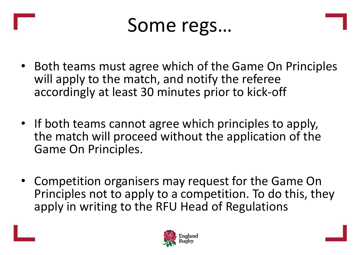

- Both teams must agree which of the Game On Principles will apply to the match, and notify the referee accordingly at least 30 minutes prior to kick-off
- If both teams cannot agree which principles to apply, the match will proceed without the application of the Game On Principles.
- Competition organisers may request for the Game On Principles not to apply to a competition. To do this, they apply in writing to the RFU Head of Regulations

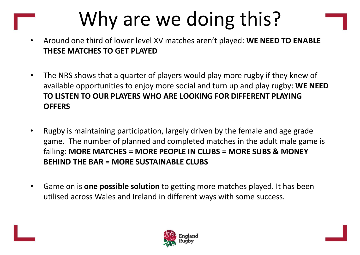# Why are we doing this?

- Around one third of lower level XV matches aren't played: **WE NEED TO ENABLE THESE MATCHES TO GET PLAYED**
- The NRS shows that a quarter of players would play more rugby if they knew of available opportunities to enjoy more social and turn up and play rugby: **WE NEED TO LISTEN TO OUR PLAYERS WHO ARE LOOKING FOR DIFFERENT PLAYING OFFERS**
- Rugby is maintaining participation, largely driven by the female and age grade game. The number of planned and completed matches in the adult male game is falling: **MORE MATCHES = MORE PEOPLE IN CLUBS = MORE SUBS & MONEY BEHIND THE BAR = MORE SUSTAINABLE CLUBS**
- Game on is **one possible solution** to getting more matches played. It has been utilised across Wales and Ireland in different ways with some success.

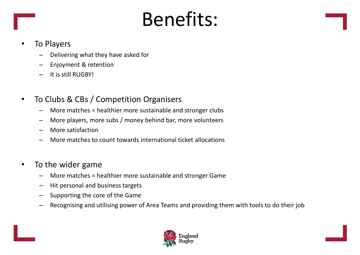## Benefits:



### **To Players**

- Delivering what they have asked for
- Enjoyment & retention
- It is still RUGBY!
- To Clubs & CBs / Competition Organisers
	- More matches = healthier more sustainable and stronger clubs
	- More players, more subs / money behind bar, more volunteers
	- More satisfaction
	- More matches to count towards international ticket allocations
- To the wider game
	- More matches = healthier more sustainable and stronger Game
	- Hit personal and business targets
	- Supporting the core of the Game
	- Recognising and utilising power of Area Teams and providing them with tools to do their job

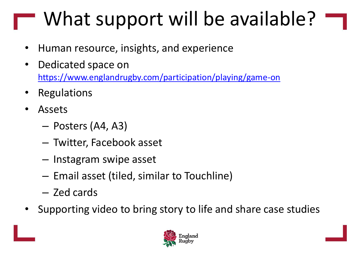# What support will be available?

- Human resource, insights, and experience
- Dedicated space on <https://www.englandrugby.com/participation/playing/game-on>
- **Regulations**
- Assets
	- Posters (A4, A3)
	- Twitter, Facebook asset
	- Instagram swipe asset
	- Email asset (tiled, similar to Touchline)
	- Zed cards
- Supporting video to bring story to life and share case studies

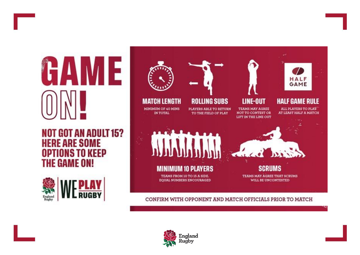

**NOT GOT AN ADULT 15? HERE ARE SOME OPTIONS TO KEEP THE GAME ON!** 





#### CONFIRM WITH OPPONENT AND MATCH OFFICIALS PRIOR TO MATCH